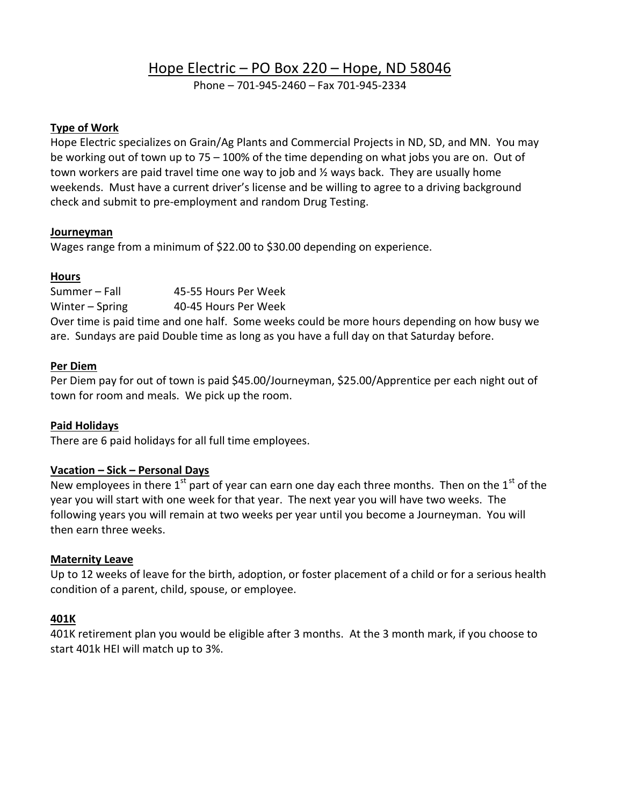# Hope Electric – PO Box 220 – Hope, ND 58046

Phone – 701-945-2460 – Fax 701-945-2334

## **Type of Work**

Hope Electric specializes on Grain/Ag Plants and Commercial Projects in ND, SD, and MN. You may be working out of town up to 75 – 100% of the time depending on what jobs you are on. Out of town workers are paid travel time one way to job and ½ ways back. They are usually home weekends. Must have a current driver's license and be willing to agree to a driving background check and submit to pre-employment and random Drug Testing.

## **Journeyman**

Wages range from a minimum of \$22.00 to \$30.00 depending on experience.

## **Hours**

Summer – Fall 45-55 Hours Per Week Winter – Spring 40-45 Hours Per Week Over time is paid time and one half. Some weeks could be more hours depending on how busy we are. Sundays are paid Double time as long as you have a full day on that Saturday before.

## **Per Diem**

Per Diem pay for out of town is paid \$45.00/Journeyman, \$25.00/Apprentice per each night out of town for room and meals. We pick up the room.

# **Paid Holidays**

There are 6 paid holidays for all full time employees.

# **Vacation – Sick – Personal Days**

New employees in there  $1<sup>st</sup>$  part of year can earn one day each three months. Then on the  $1<sup>st</sup>$  of the year you will start with one week for that year. The next year you will have two weeks. The following years you will remain at two weeks per year until you become a Journeyman. You will then earn three weeks.

#### **Maternity Leave**

Up to 12 weeks of leave for the birth, adoption, or foster placement of a child or for a serious health condition of a parent, child, spouse, or employee.

# **401K**

401K retirement plan you would be eligible after 3 months. At the 3 month mark, if you choose to start 401k HEI will match up to 3%.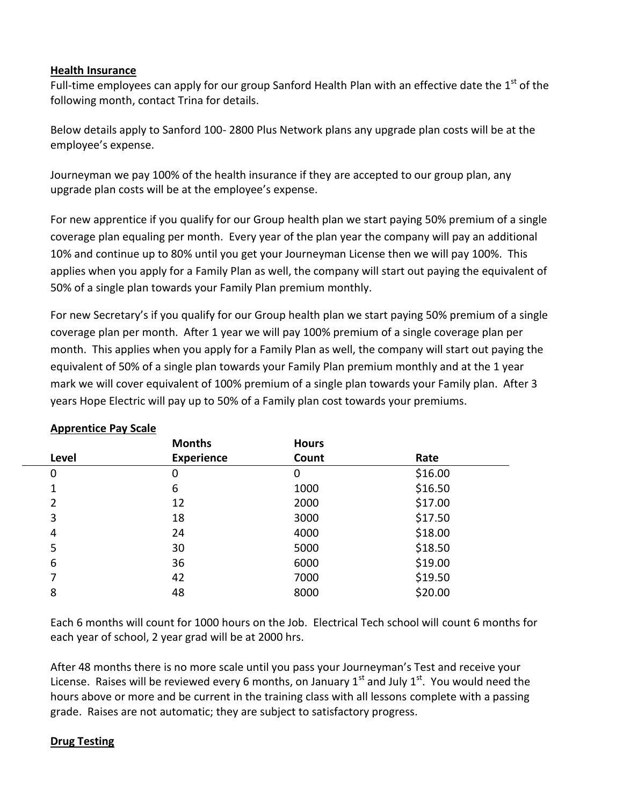## **Health Insurance**

Full-time employees can apply for our group Sanford Health Plan with an effective date the 1<sup>st</sup> of the following month, contact Trina for details.

Below details apply to Sanford 100- 2800 Plus Network plans any upgrade plan costs will be at the employee's expense.

Journeyman we pay 100% of the health insurance if they are accepted to our group plan, any upgrade plan costs will be at the employee's expense.

For new apprentice if you qualify for our Group health plan we start paying 50% premium of a single coverage plan equaling per month. Every year of the plan year the company will pay an additional 10% and continue up to 80% until you get your Journeyman License then we will pay 100%. This applies when you apply for a Family Plan as well, the company will start out paying the equivalent of 50% of a single plan towards your Family Plan premium monthly.

For new Secretary's if you qualify for our Group health plan we start paying 50% premium of a single coverage plan per month. After 1 year we will pay 100% premium of a single coverage plan per month. This applies when you apply for a Family Plan as well, the company will start out paying the equivalent of 50% of a single plan towards your Family Plan premium monthly and at the 1 year mark we will cover equivalent of 100% premium of a single plan towards your Family plan. After 3 years Hope Electric will pay up to 50% of a Family plan cost towards your premiums.

|       | <b>Months</b>     | <b>Hours</b> |         |
|-------|-------------------|--------------|---------|
| Level | <b>Experience</b> | Count        | Rate    |
| 0     | 0                 | 0            | \$16.00 |
| 1     | 6                 | 1000         | \$16.50 |
| 2     | 12                | 2000         | \$17.00 |
| 3     | 18                | 3000         | \$17.50 |
| 4     | 24                | 4000         | \$18.00 |
| 5     | 30                | 5000         | \$18.50 |
| 6     | 36                | 6000         | \$19.00 |
| 7     | 42                | 7000         | \$19.50 |
| 8     | 48                | 8000         | \$20.00 |
|       |                   |              |         |

# **Apprentice Pay Scale**

Each 6 months will count for 1000 hours on the Job. Electrical Tech school will count 6 months for each year of school, 2 year grad will be at 2000 hrs.

After 48 months there is no more scale until you pass your Journeyman's Test and receive your License. Raises will be reviewed every 6 months, on January  $1^{st}$  and July  $1^{st}$ . You would need the hours above or more and be current in the training class with all lessons complete with a passing grade. Raises are not automatic; they are subject to satisfactory progress.

#### **Drug Testing**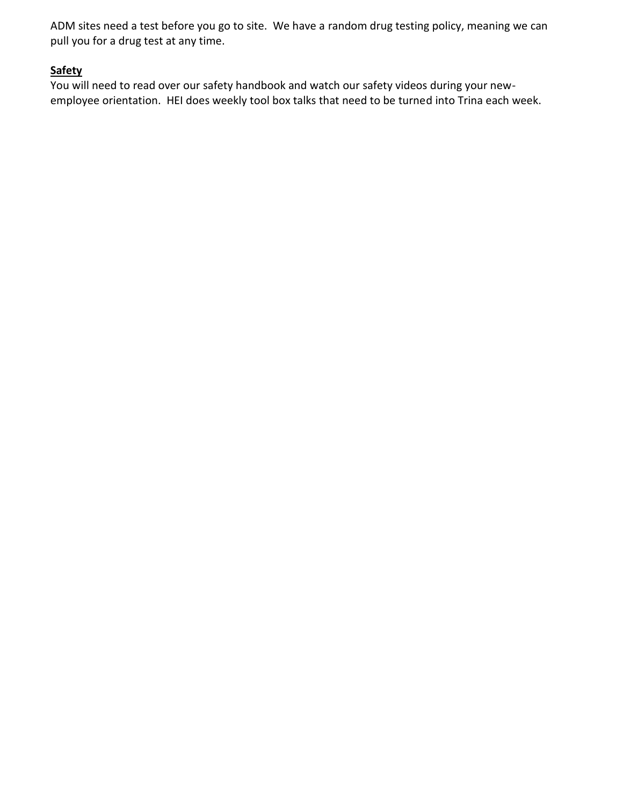ADM sites need a test before you go to site. We have a random drug testing policy, meaning we can pull you for a drug test at any time.

# **Safety**

You will need to read over our safety handbook and watch our safety videos during your newemployee orientation. HEI does weekly tool box talks that need to be turned into Trina each week.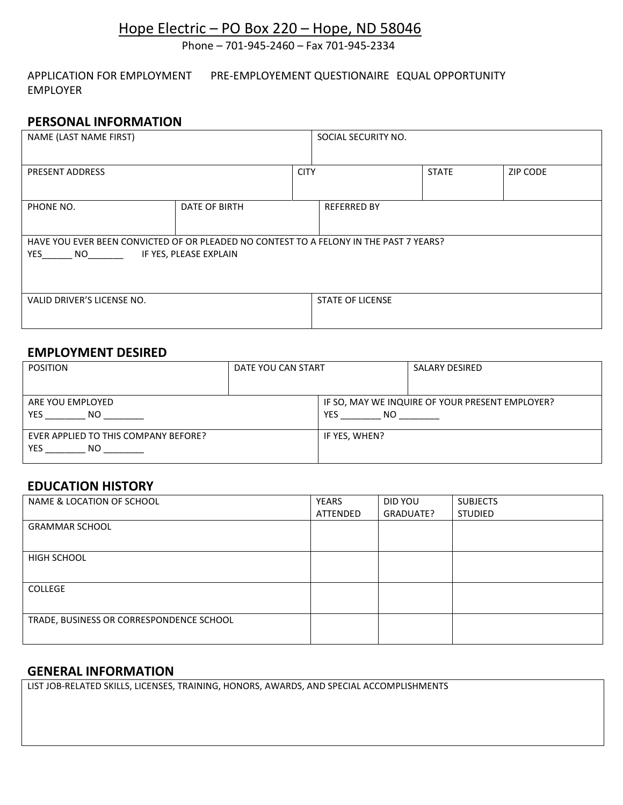# Hope Electric – PO Box 220 – Hope, ND 58046

Phone – 701-945-2460 – Fax 701-945-2334

APPLICATION FOR EMPLOYMENT PRE-EMPLOYEMENT QUESTIONAIRE EQUAL OPPORTUNITY EMPLOYER

# **PERSONAL INFORMATION**

| NAME (LAST NAME FIRST)                                                                                                     |               |             | SOCIAL SECURITY NO.     |  |                 |
|----------------------------------------------------------------------------------------------------------------------------|---------------|-------------|-------------------------|--|-----------------|
| PRESENT ADDRESS                                                                                                            |               | <b>CITY</b> | <b>STATE</b>            |  | <b>ZIP CODE</b> |
| PHONE NO.                                                                                                                  | DATE OF BIRTH |             | <b>REFERRED BY</b>      |  |                 |
| HAVE YOU EVER BEEN CONVICTED OF OR PLEADED NO CONTEST TO A FELONY IN THE PAST 7 YEARS?<br>IF YES, PLEASE EXPLAIN<br>YES NO |               |             |                         |  |                 |
| VALID DRIVER'S LICENSE NO.                                                                                                 |               |             | <b>STATE OF LICENSE</b> |  |                 |

## **EMPLOYMENT DESIRED**

| <b>POSITION</b>                      | DATE YOU CAN START |                                                 | <b>SALARY DESIRED</b> |
|--------------------------------------|--------------------|-------------------------------------------------|-----------------------|
|                                      |                    |                                                 |                       |
| ARE YOU EMPLOYED                     |                    | IF SO, MAY WE INQUIRE OF YOUR PRESENT EMPLOYER? |                       |
| YES<br>NO.                           |                    | YES.<br>NO.                                     |                       |
| EVER APPLIED TO THIS COMPANY BEFORE? |                    | IF YES, WHEN?                                   |                       |
| YES<br>NO.                           |                    |                                                 |                       |

#### **EDUCATION HISTORY**

| NAME & LOCATION OF SCHOOL                | YEARS    | DID YOU   | <b>SUBJECTS</b> |
|------------------------------------------|----------|-----------|-----------------|
|                                          | ATTENDED | GRADUATE? | <b>STUDIED</b>  |
| <b>GRAMMAR SCHOOL</b>                    |          |           |                 |
|                                          |          |           |                 |
| HIGH SCHOOL                              |          |           |                 |
|                                          |          |           |                 |
| <b>COLLEGE</b>                           |          |           |                 |
|                                          |          |           |                 |
| TRADE, BUSINESS OR CORRESPONDENCE SCHOOL |          |           |                 |
|                                          |          |           |                 |

# **GENERAL INFORMATION**

LIST JOB-RELATED SKILLS, LICENSES, TRAINING, HONORS, AWARDS, AND SPECIAL ACCOMPLISHMENTS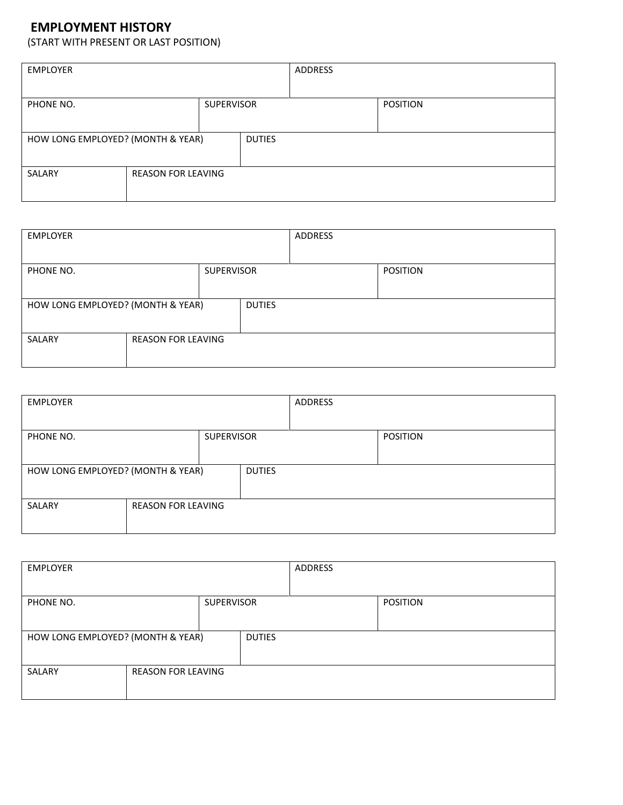# **EMPLOYMENT HISTORY**

(START WITH PRESENT OR LAST POSITION)

| <b>EMPLOYER</b>                                    |                           |  | ADDRESS |                 |  |
|----------------------------------------------------|---------------------------|--|---------|-----------------|--|
|                                                    |                           |  |         |                 |  |
| PHONE NO.<br><b>SUPERVISOR</b>                     |                           |  |         | <b>POSITION</b> |  |
|                                                    |                           |  |         |                 |  |
| HOW LONG EMPLOYED? (MONTH & YEAR)<br><b>DUTIES</b> |                           |  |         |                 |  |
|                                                    |                           |  |         |                 |  |
| SALARY                                             | <b>REASON FOR LEAVING</b> |  |         |                 |  |
|                                                    |                           |  |         |                 |  |

| <b>EMPLOYER</b>                   |                           |               | ADDRESS |  |                 |
|-----------------------------------|---------------------------|---------------|---------|--|-----------------|
| <b>SUPERVISOR</b><br>PHONE NO.    |                           |               |         |  | <b>POSITION</b> |
| HOW LONG EMPLOYED? (MONTH & YEAR) |                           | <b>DUTIES</b> |         |  |                 |
| SALARY                            | <b>REASON FOR LEAVING</b> |               |         |  |                 |

| <b>EMPLOYER</b>                   |                           |               | ADDRESS |                 |  |
|-----------------------------------|---------------------------|---------------|---------|-----------------|--|
|                                   |                           |               |         |                 |  |
| <b>SUPERVISOR</b><br>PHONE NO.    |                           |               |         | <b>POSITION</b> |  |
|                                   |                           |               |         |                 |  |
| HOW LONG EMPLOYED? (MONTH & YEAR) |                           | <b>DUTIES</b> |         |                 |  |
|                                   |                           |               |         |                 |  |
| SALARY                            | <b>REASON FOR LEAVING</b> |               |         |                 |  |
|                                   |                           |               |         |                 |  |

| <b>EMPLOYER</b>                     |  |               | ADDRESS |                 |
|-------------------------------------|--|---------------|---------|-----------------|
| <b>SUPERVISOR</b><br>PHONE NO.      |  |               |         | <b>POSITION</b> |
| HOW LONG EMPLOYED? (MONTH & YEAR)   |  | <b>DUTIES</b> |         |                 |
| SALARY<br><b>REASON FOR LEAVING</b> |  |               |         |                 |